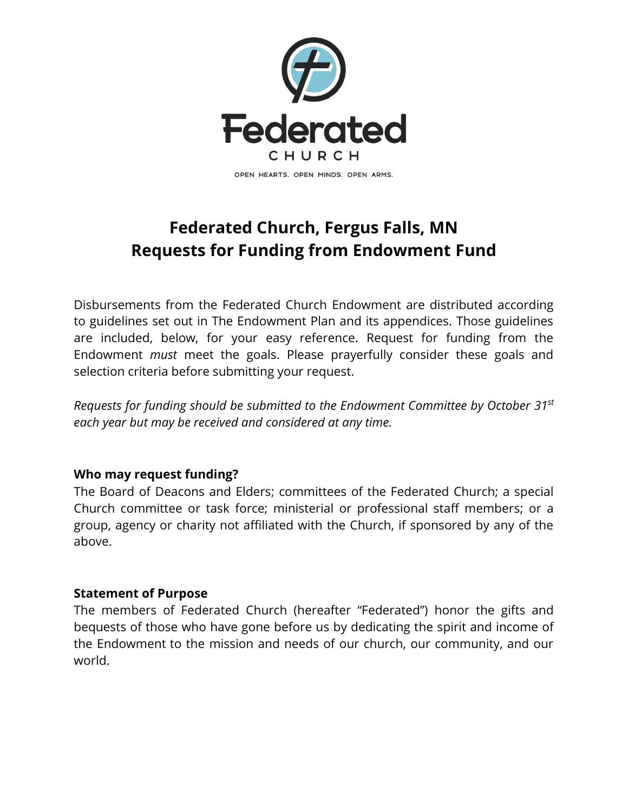

# **Federated Church, Fergus Falls, MN Requests for Funding from Endowment Fund**

Disbursements from the Federated Church Endowment are distributed according to guidelines set out in The Endowment Plan and its appendices. Those guidelines are included, below, for your easy reference. Request for funding from the Endowment *must* meet the goals. Please prayerfully consider these goals and selection criteria before submitting your request.

*Requests for funding should be submitted to the Endowment Committee by October 31 st each year but may be received and considered at any time.*

#### **Who may request funding?**

The Board of Deacons and Elders; committees of the Federated Church; a special Church committee or task force; ministerial or professional staff members; or a group, agency or charity not affiliated with the Church, if sponsored by any of the above.

#### **Statement of Purpose**

The members of Federated Church (hereafter "Federated") honor the gifts and bequests of those who have gone before us by dedicating the spirit and income of the Endowment to the mission and needs of our church, our community, and our world.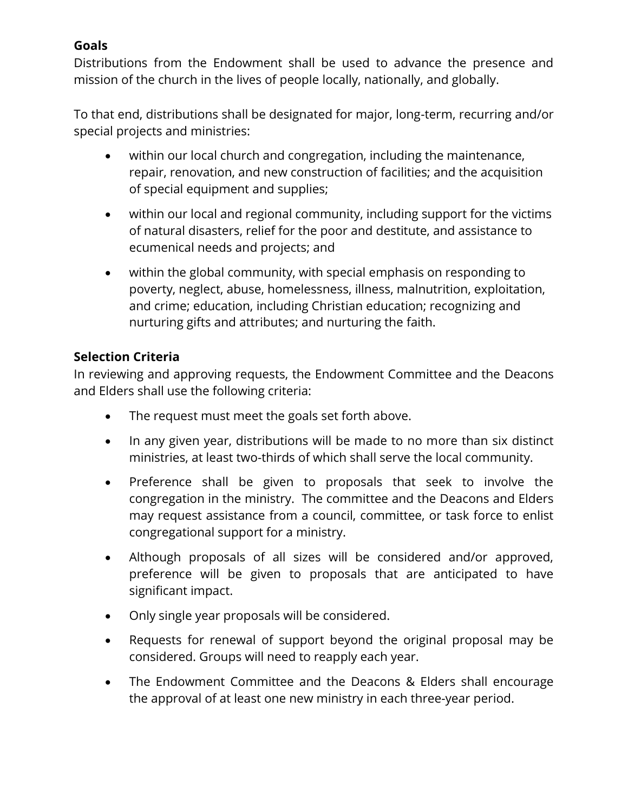### **Goals**

Distributions from the Endowment shall be used to advance the presence and mission of the church in the lives of people locally, nationally, and globally.

To that end, distributions shall be designated for major, long-term, recurring and/or special projects and ministries:

- within our local church and congregation, including the maintenance, repair, renovation, and new construction of facilities; and the acquisition of special equipment and supplies;
- within our local and regional community, including support for the victims of natural disasters, relief for the poor and destitute, and assistance to ecumenical needs and projects; and
- within the global community, with special emphasis on responding to poverty, neglect, abuse, homelessness, illness, malnutrition, exploitation, and crime; education, including Christian education; recognizing and nurturing gifts and attributes; and nurturing the faith.

### **Selection Criteria**

In reviewing and approving requests, the Endowment Committee and the Deacons and Elders shall use the following criteria:

- The request must meet the goals set forth above.
- In any given year, distributions will be made to no more than six distinct ministries, at least two-thirds of which shall serve the local community.
- Preference shall be given to proposals that seek to involve the congregation in the ministry. The committee and the Deacons and Elders may request assistance from a council, committee, or task force to enlist congregational support for a ministry.
- Although proposals of all sizes will be considered and/or approved, preference will be given to proposals that are anticipated to have significant impact.
- Only single year proposals will be considered.
- Requests for renewal of support beyond the original proposal may be considered. Groups will need to reapply each year.
- The Endowment Committee and the Deacons & Elders shall encourage the approval of at least one new ministry in each three-year period.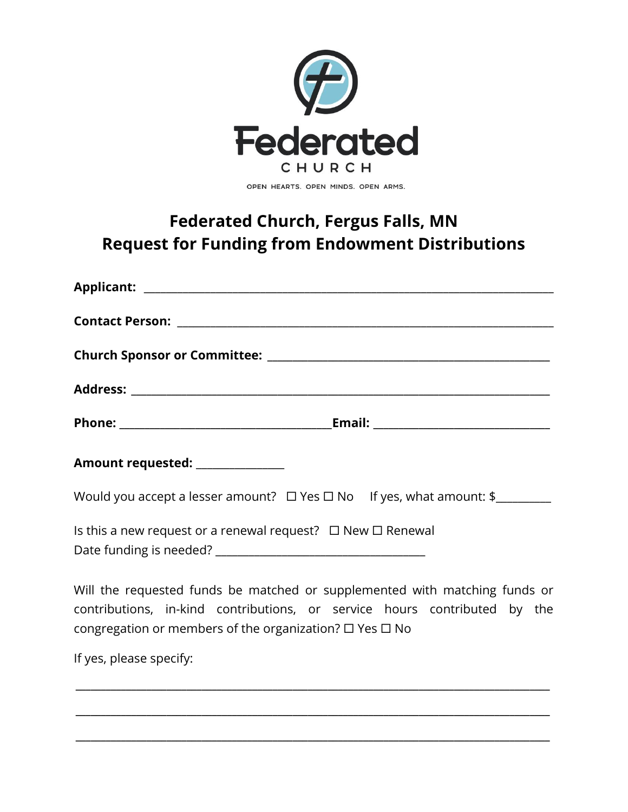

## **Federated Church, Fergus Falls, MN Request for Funding from Endowment Distributions**

| Amount requested: _____________                                                                                 |
|-----------------------------------------------------------------------------------------------------------------|
| Would you accept a lesser amount? $\Box$ Yes $\Box$ No If yes, what amount: \$                                  |
| Is this a new request or a renewal request? $\Box$ New $\Box$ Renewal                                           |
| 1000 - 1000 - 1000 - 1000 - 1000 - 1000 - 1000 - 1000 - 1000 - 1000 - 1000 - 1000 - 1000 - 1000 - 1000 - 1000 - |

Will the requested funds be matched or supplemented with matching funds or contributions, in-kind contributions, or service hours contributed by the congregation or members of the organization?  $\square$  Yes  $\square$  No

**\_\_\_\_\_\_\_\_\_\_\_\_\_\_\_\_\_\_\_\_\_\_\_\_\_\_\_\_\_\_\_\_\_\_\_\_\_\_\_\_\_\_\_\_\_\_\_\_\_\_\_\_\_\_\_\_\_\_\_\_\_\_\_\_\_\_\_\_\_\_\_\_\_\_\_\_\_\_\_\_\_\_\_\_\_\_\_\_\_\_\_\_\_\_**

**\_\_\_\_\_\_\_\_\_\_\_\_\_\_\_\_\_\_\_\_\_\_\_\_\_\_\_\_\_\_\_\_\_\_\_\_\_\_\_\_\_\_\_\_\_\_\_\_\_\_\_\_\_\_\_\_\_\_\_\_\_\_\_\_\_\_\_\_\_\_\_\_\_\_\_\_\_\_\_\_\_\_\_\_\_\_\_\_\_\_\_\_\_\_**

**\_\_\_\_\_\_\_\_\_\_\_\_\_\_\_\_\_\_\_\_\_\_\_\_\_\_\_\_\_\_\_\_\_\_\_\_\_\_\_\_\_\_\_\_\_\_\_\_\_\_\_\_\_\_\_\_\_\_\_\_\_\_\_\_\_\_\_\_\_\_\_\_\_\_\_\_\_\_\_\_\_\_\_\_\_\_\_\_\_\_\_\_\_\_**

If yes, please specify: